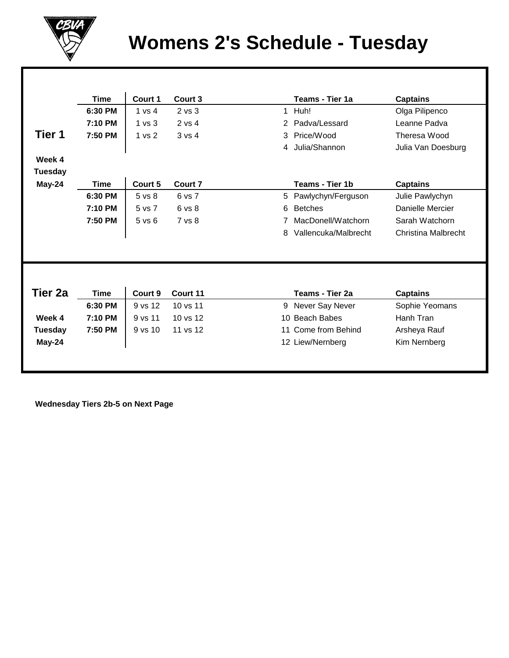

## **Womens 2's Schedule - Tuesday**

|                | <b>Time</b> | Court 1     | Court 3        |                | Teams - Tier 1a      | <b>Captains</b>     |
|----------------|-------------|-------------|----------------|----------------|----------------------|---------------------|
|                | 6:30 PM     | 1 vs 4      | $2$ vs $3$     |                | 1 Huh!               | Olga Pilipenco      |
|                | 7:10 PM     | 1 vs 3      | 2 vs 4         | $\overline{2}$ | Padva/Lessard        | Leanne Padva        |
| Tier 1         | 7:50 PM     | 1 vs 2      | 3 v s 4        | 3              | Price/Wood           | Theresa Wood        |
|                |             |             |                | 4              | Julia/Shannon        | Julia Van Doesburg  |
| Week 4         |             |             |                |                |                      |                     |
| <b>Tuesday</b> |             |             |                |                |                      |                     |
| May-24         | <b>Time</b> | Court 5     | <b>Court 7</b> |                | Teams - Tier 1b      | <b>Captains</b>     |
|                | 6:30 PM     | 5 vs 8      | 6 vs 7         | 5              | Pawlychyn/Ferguson   | Julie Pawlychyn     |
|                | 7:10 PM     | 5 vs 7      | 6 vs 8         | 6              | <b>Betches</b>       | Danielle Mercier    |
|                | 7:50 PM     | 5 v s 6     | 7 vs 8         |                | MacDonell/Watchorn   | Sarah Watchorn      |
|                |             |             |                | 8              | Vallencuka/Malbrecht | Christina Malbrecht |
|                |             |             |                |                |                      |                     |
|                |             |             |                |                |                      |                     |
|                |             |             |                |                |                      |                     |
|                |             |             |                |                |                      |                     |
| Tier 2a        | <b>Time</b> | Court 9     | Court 11       |                | Teams - Tier 2a      | <b>Captains</b>     |
|                | 6:30 PM     | 9 vs 12     | 10 vs 11       | 9              | Never Say Never      | Sophie Yeomans      |
| Week 4         | 7:10 PM     | 9 vs 11     | 10 vs 12       |                | 10 Beach Babes       | Hanh Tran           |
| <b>Tuesday</b> | 7:50 PM     | $9$ vs $10$ | 11 vs 12       |                | 11 Come from Behind  | Arsheya Rauf        |
| May-24         |             |             |                |                | 12 Liew/Nernberg     | Kim Nernberg        |
|                |             |             |                |                |                      |                     |
|                |             |             |                |                |                      |                     |

 **Wednesday Tiers 2b-5 on Next Page**